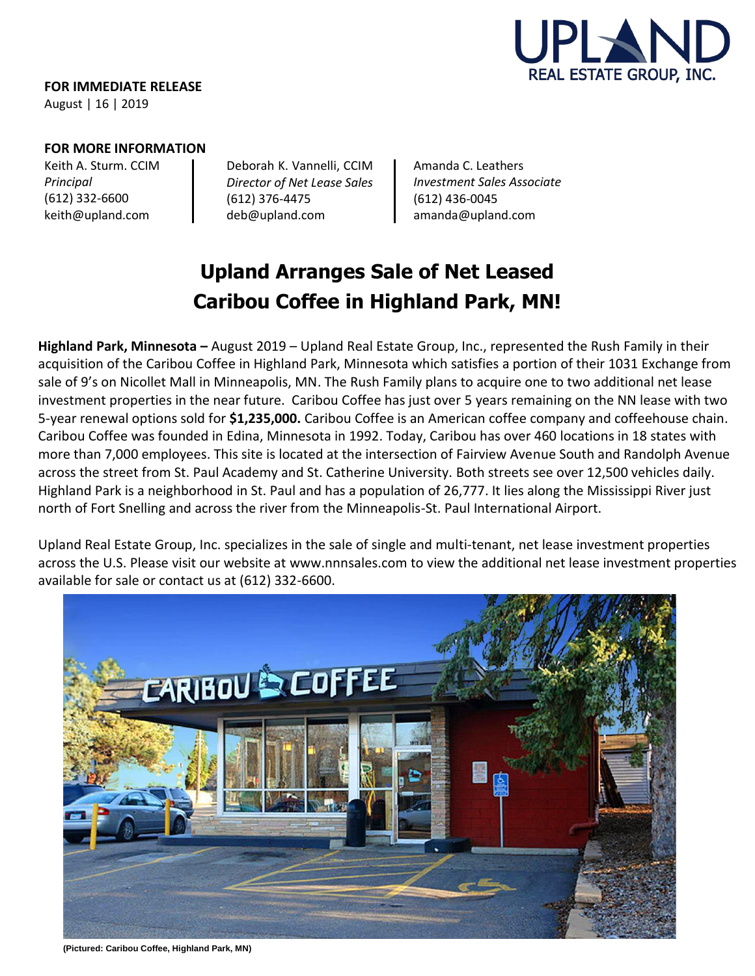

**FOR IMMEDIATE RELEASE** August | 16 | 2019

### **FOR MORE INFORMATION**

Keith A. Sturm. CCIM *Principal* (612) 332-6600 [keith@upland.com](mailto:keith@upland.com)

Deborah K. Vannelli, CCIM *Director of Net Lease Sales*  (612) 376-4475 [deb@upland.com](mailto:deb@upland.com)

Amanda C. Leathers *Investment Sales Associate*  (612) 436-0045 [amanda@upland.com](mailto:amanda@upland.com)

# **Upland Arranges Sale of Net Leased Caribou Coffee in Highland Park, MN!**

**Highland Park, Minnesota –** August 2019 – Upland Real Estate Group, Inc., represented the Rush Family in their acquisition of the Caribou Coffee in Highland Park, Minnesota which satisfies a portion of their 1031 Exchange from sale of 9's on Nicollet Mall in Minneapolis, MN. The Rush Family plans to acquire one to two additional net lease investment properties in the near future. Caribou Coffee has just over 5 years remaining on the NN lease with two 5-year renewal options sold for **\$1,235,000.** Caribou Coffee is an American coffee company and coffeehouse chain. Caribou Coffee was founded in Edina, Minnesota in 1992. Today, Caribou has over 460 locations in 18 states with more than 7,000 employees. This site is located at the intersection of Fairview Avenue South and Randolph Avenue across the street from St. Paul Academy and St. Catherine University. Both streets see over 12,500 vehicles daily. Highland Park is a neighborhood in St. Paul and has a population of 26,777. It lies along the Mississippi River just north of Fort Snelling and across the river from the Minneapolis-St. Paul International Airport.

Upland Real Estate Group, Inc. specializes in the sale of single and multi-tenant, net lease investment properties across the U.S. Please visit our website at [www.nnnsales.com](http://www.nnnsales.com/) to view the additional net lease investment properties available for sale or contact us at (612) 332-6600.



**(Pictured: Caribou Coffee, Highland Park, MN)**